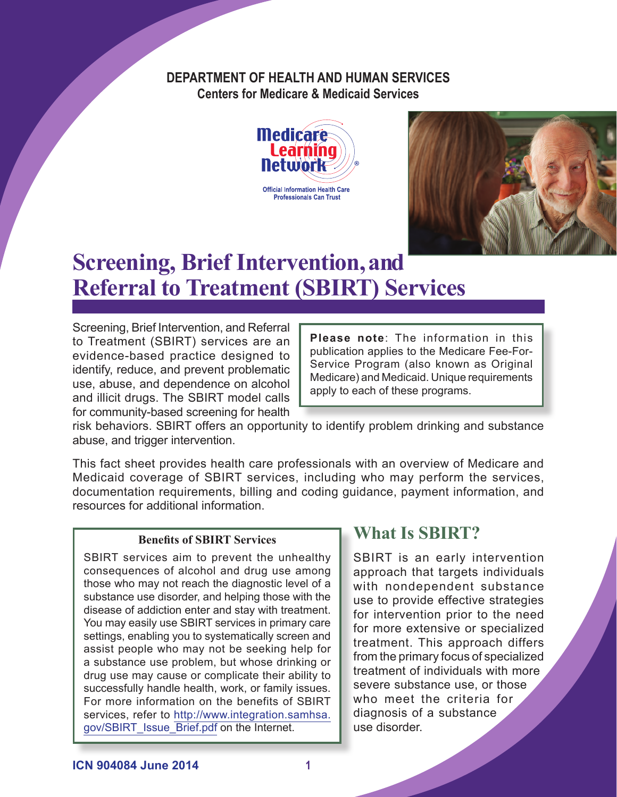#### **DEPARTMENT OF HEALTH AND HUMAN SERVICES Centers for Medicare & Medicaid Services**





# **Screening, Brief Intervention, and Referral to Treatment (SBIRT) Services**

Screening, Brief Intervention, and Referral to Treatment (SBIRT) services are an evidence-based practice designed to identify, reduce, and prevent problematic use, abuse, and dependence on alcohol and illicit drugs. The SBIRT model calls for community-based screening for health

**Please note**: The information in this publication applies to the Medicare Fee-For-Service Program (also known as Original Medicare) and Medicaid. Unique requirements apply to each of these programs.

risk behaviors. SBIRT offers an opportunity to identify problem drinking and substance abuse, and trigger intervention.

This fact sheet provides health care professionals with an overview of Medicare and Medicaid coverage of SBIRT services, including who may perform the services, documentation requirements, billing and coding guidance, payment information, and resources for additional information.

#### **Benefits of SBIRT Services**

SBIRT services aim to prevent the unhealthy consequences of alcohol and drug use among those who may not reach the diagnostic level of a substance use disorder, and helping those with the disease of addiction enter and stay with treatment. You may easily use SBIRT services in primary care settings, enabling you to systematically screen and assist people who may not be seeking help for a substance use problem, but whose drinking or drug use may cause or complicate their ability to successfully handle health, work, or family issues. For more information on the benefits of SBIRT services, refer to [http://www.integration.samhsa.](http://www.integration.samhsa.gov/SBIRT_Issue_Brief.pdf) [gov/SBIRT\\_Issue\\_Brief.pdf](http://www.integration.samhsa.gov/SBIRT_Issue_Brief.pdf) on the Internet.

# **What Is SBIRT?**

SBIRT is an early intervention approach that targets individuals with nondependent substance use to provide effective strategies for intervention prior to the need for more extensive or specialized treatment. This approach differs from the primary focus of specialized treatment of individuals with more severe substance use, or those who meet the criteria for diagnosis of a substance use disorder.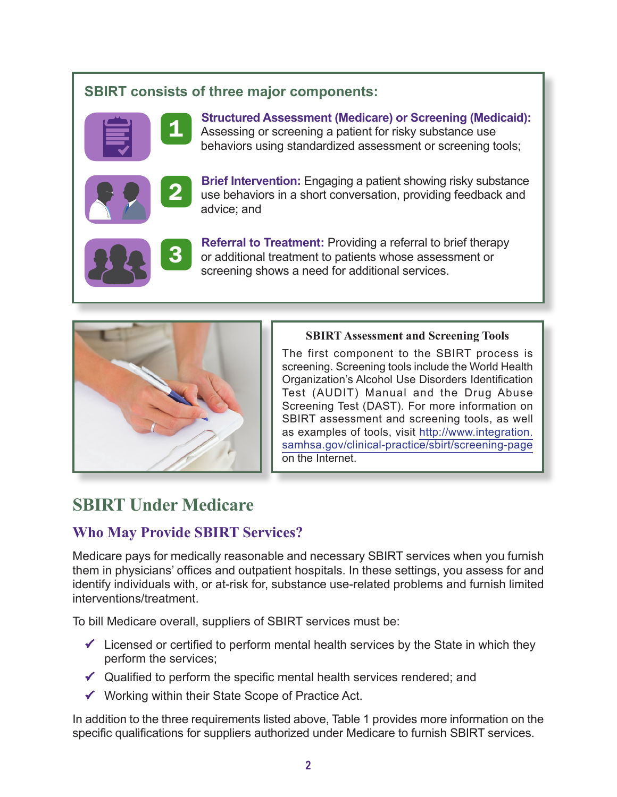#### **SBIRT consists of three major components:**



**1** Structured Assessment (Medicare) or Screening (Medicaid):<br>Assessing or screening a patient for risky substance use behaviors using standardized assessment or screening tools;



**2** Brief Intervention: Engaging a patient showing risky substance<br>use behaviors in a short conversation, providing feedback and advice; and



**Referral to Treatment:** Providing a referral to brief therapy or additional treatment to patients whose assessment or screening shows a need for additional services.



#### **SBIRT Assessment and Screening Tools**

The first component to the SBIRT process is screening. Screening tools include the World Health Organization's Alcohol Use Disorders Identification Test (AUDIT) Manual and the Drug Abuse Screening Test (DAST). For more information on SBIRT assessment and screening tools, as well as examples of tools, visit [http://www.integration.](http://www.integration.samhsa.gov/clinical-practice/sbirt/screening-page) [samhsa.gov/clinical-practice/sbirt/screening-page](http://www.integration.samhsa.gov/clinical-practice/sbirt/screening-page) on the Internet.

# **SBIRT Under Medicare**

#### **Who May Provide SBIRT Services?**

Medicare pays for medically reasonable and necessary SBIRT services when you furnish them in physicians' offices and outpatient hospitals. In these settings, you assess for and identify individuals with, or at-risk for, substance use-related problems and furnish limited interventions/treatment.

To bill Medicare overall, suppliers of SBIRT services must be:

- $\checkmark$  Licensed or certified to perform mental health services by the State in which they perform the services;
- $\checkmark$  Qualified to perform the specific mental health services rendered; and
- $\checkmark$  Working within their State Scope of Practice Act.

In addition to the three requirements listed above, Table 1 provides more information on the specific qualifications for suppliers authorized under Medicare to furnish SBIRT services.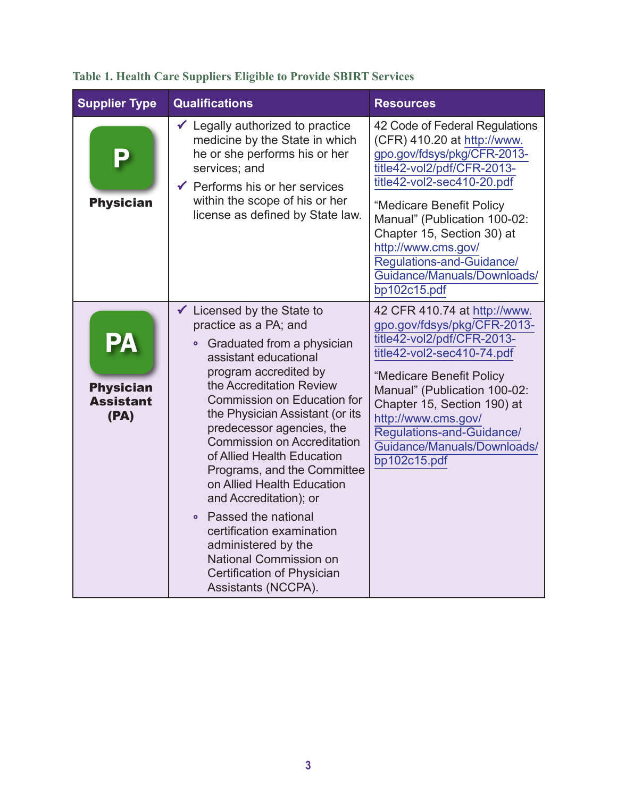| <b>Supplier Type</b>                                      | <b>Qualifications</b>                                                                                                                                                                                                                                                                                                                                                                                                                                                                                                                                                                                                                         | <b>Resources</b>                                                                                                                                                                                                                                                                                                                                      |
|-----------------------------------------------------------|-----------------------------------------------------------------------------------------------------------------------------------------------------------------------------------------------------------------------------------------------------------------------------------------------------------------------------------------------------------------------------------------------------------------------------------------------------------------------------------------------------------------------------------------------------------------------------------------------------------------------------------------------|-------------------------------------------------------------------------------------------------------------------------------------------------------------------------------------------------------------------------------------------------------------------------------------------------------------------------------------------------------|
| P<br><b>Physician</b>                                     | $\checkmark$ Legally authorized to practice<br>medicine by the State in which<br>he or she performs his or her<br>services; and<br>$\checkmark$ Performs his or her services<br>within the scope of his or her<br>license as defined by State law.                                                                                                                                                                                                                                                                                                                                                                                            | 42 Code of Federal Regulations<br>(CFR) 410.20 at http://www.<br>gpo.gov/fdsys/pkg/CFR-2013-<br>title42-vol2/pdf/CFR-2013-<br>title42-vol2-sec410-20.pdf<br>"Medicare Benefit Policy<br>Manual" (Publication 100-02:<br>Chapter 15, Section 30) at<br>http://www.cms.gov/<br>Regulations-and-Guidance/<br>Guidance/Manuals/Downloads/<br>bp102c15.pdf |
| <b>PA</b><br><b>Physician</b><br><b>Assistant</b><br>(PA) | $\checkmark$ Licensed by the State to<br>practice as a PA; and<br>Graduated from a physician<br>$\bullet$<br>assistant educational<br>program accredited by<br>the Accreditation Review<br><b>Commission on Education for</b><br>the Physician Assistant (or its<br>predecessor agencies, the<br><b>Commission on Accreditation</b><br>of Allied Health Education<br>Programs, and the Committee<br>on Allied Health Education<br>and Accreditation); or<br>Passed the national<br>$\bullet$<br>certification examination<br>administered by the<br><b>National Commission on</b><br><b>Certification of Physician</b><br>Assistants (NCCPA). | 42 CFR 410.74 at http://www.<br>gpo.gov/fdsys/pkg/CFR-2013-<br>title42-vol2/pdf/CFR-2013-<br>title42-vol2-sec410-74.pdf<br>"Medicare Benefit Policy<br>Manual" (Publication 100-02:<br>Chapter 15, Section 190) at<br>http://www.cms.gov/<br>Regulations-and-Guidance/<br>Guidance/Manuals/Downloads/<br>bp102c15.pdf                                 |

# **Table 1. Health Care Suppliers Eligible to Provide SBIRT Services**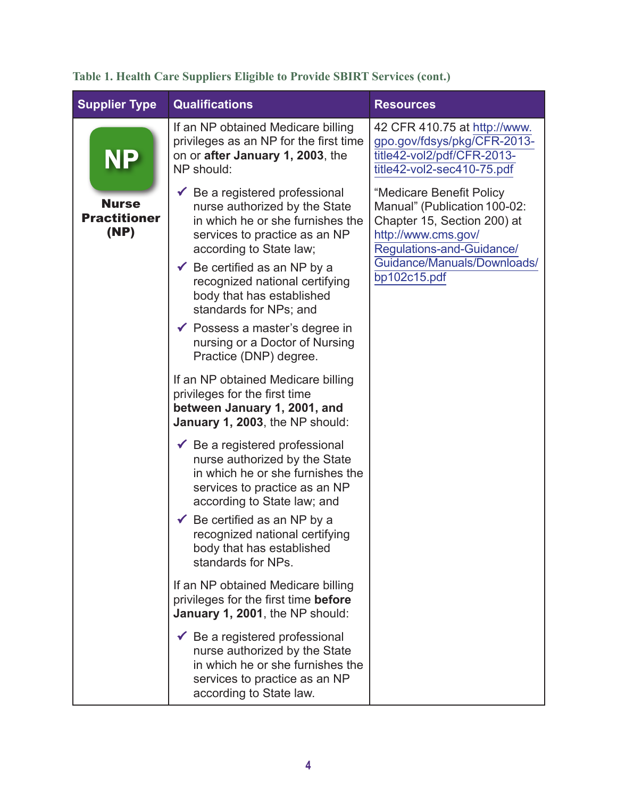|  | Table 1. Health Care Suppliers Eligible to Provide SBIRT Services (cont.) |  |  |  |
|--|---------------------------------------------------------------------------|--|--|--|

| <b>Supplier Type</b>                        | <b>Qualifications</b>                                                                                                                                                                                                                                                                                          | <b>Resources</b>                                                                                                                                                                           |
|---------------------------------------------|----------------------------------------------------------------------------------------------------------------------------------------------------------------------------------------------------------------------------------------------------------------------------------------------------------------|--------------------------------------------------------------------------------------------------------------------------------------------------------------------------------------------|
| <b>NP</b>                                   | If an NP obtained Medicare billing<br>privileges as an NP for the first time<br>on or after January 1, 2003, the<br>NP should:                                                                                                                                                                                 | 42 CFR 410.75 at http://www.<br>gpo.gov/fdsys/pkg/CFR-2013-<br>title42-vol2/pdf/CFR-2013-<br>title42-vol2-sec410-75.pdf                                                                    |
| <b>Nurse</b><br><b>Practitioner</b><br>(NP) | $\checkmark$ Be a registered professional<br>nurse authorized by the State<br>in which he or she furnishes the<br>services to practice as an NP<br>according to State law;<br>$\checkmark$ Be certified as an NP by a<br>recognized national certifying<br>body that has established<br>standards for NPs; and | "Medicare Benefit Policy<br>Manual" (Publication 100-02:<br>Chapter 15, Section 200) at<br>http://www.cms.gov/<br>Regulations-and-Guidance/<br>Guidance/Manuals/Downloads/<br>bp102c15.pdf |
|                                             | $\checkmark$ Possess a master's degree in<br>nursing or a Doctor of Nursing<br>Practice (DNP) degree.                                                                                                                                                                                                          |                                                                                                                                                                                            |
|                                             | If an NP obtained Medicare billing<br>privileges for the first time<br>between January 1, 2001, and<br>January 1, 2003, the NP should:                                                                                                                                                                         |                                                                                                                                                                                            |
|                                             | $\checkmark$ Be a registered professional<br>nurse authorized by the State<br>in which he or she furnishes the<br>services to practice as an NP<br>according to State law; and<br>Be certified as an NP by a                                                                                                   |                                                                                                                                                                                            |
|                                             | recognized national certifying<br>body that has established<br>standards for NPs.                                                                                                                                                                                                                              |                                                                                                                                                                                            |
|                                             | If an NP obtained Medicare billing<br>privileges for the first time <b>before</b><br>January 1, 2001, the NP should:                                                                                                                                                                                           |                                                                                                                                                                                            |
|                                             | $\checkmark$ Be a registered professional<br>nurse authorized by the State<br>in which he or she furnishes the<br>services to practice as an NP<br>according to State law.                                                                                                                                     |                                                                                                                                                                                            |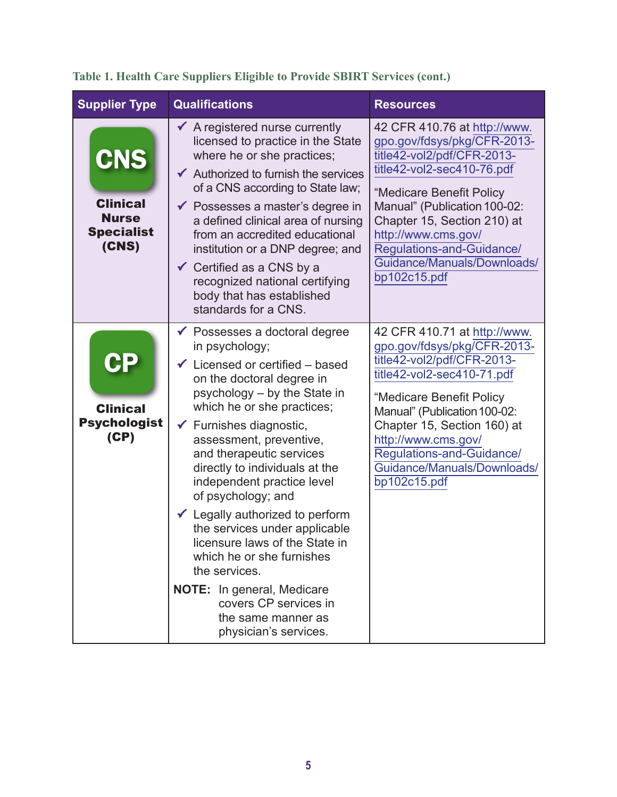| <b>Supplier Type</b>                                                 | <b>Qualifications</b>                                                                                                                                                                                                                                                                                                                                                                                                                                                                                                                                                                                                                                   | <b>Resources</b>                                                                                                                                                                                                                                                                                                      |
|----------------------------------------------------------------------|---------------------------------------------------------------------------------------------------------------------------------------------------------------------------------------------------------------------------------------------------------------------------------------------------------------------------------------------------------------------------------------------------------------------------------------------------------------------------------------------------------------------------------------------------------------------------------------------------------------------------------------------------------|-----------------------------------------------------------------------------------------------------------------------------------------------------------------------------------------------------------------------------------------------------------------------------------------------------------------------|
| CNS<br><b>Clinical</b><br><b>Nurse</b><br><b>Specialist</b><br>(CNS) | $\checkmark$ A registered nurse currently<br>licensed to practice in the State<br>where he or she practices;<br>$\checkmark$ Authorized to furnish the services<br>of a CNS according to State law;<br>$\checkmark$ Possesses a master's degree in<br>a defined clinical area of nursing<br>from an accredited educational<br>institution or a DNP degree; and<br>$\checkmark$ Certified as a CNS by a<br>recognized national certifying<br>body that has established<br>standards for a CNS.                                                                                                                                                           | 42 CFR 410.76 at http://www.<br>gpo.gov/fdsys/pkg/CFR-2013-<br>title42-vol2/pdf/CFR-2013-<br>title42-vol2-sec410-76.pdf<br>"Medicare Benefit Policy<br>Manual" (Publication 100-02:<br>Chapter 15, Section 210) at<br>http://www.cms.gov/<br>Regulations-and-Guidance/<br>Guidance/Manuals/Downloads/<br>bp102c15.pdf |
| CP<br><b>Clinical</b><br><b>Psychologist</b><br>(CP)                 | $\checkmark$ Possesses a doctoral degree<br>in psychology;<br>$\checkmark$ Licensed or certified – based<br>on the doctoral degree in<br>psychology - by the State in<br>which he or she practices;<br>$\checkmark$ Furnishes diagnostic,<br>assessment, preventive,<br>and therapeutic services<br>directly to individuals at the<br>independent practice level<br>of psychology; and<br>← Legally authorized to perform<br>the services under applicable<br>licensure laws of the State in<br>which he or she furnishes<br>the services.<br><b>NOTE:</b> In general, Medicare<br>covers CP services in<br>the same manner as<br>physician's services. | 42 CFR 410.71 at http://www.<br>gpo.gov/fdsys/pkg/CFR-2013-<br>title42-vol2/pdf/CFR-2013-<br>title42-vol2-sec410-71.pdf<br>"Medicare Benefit Policy<br>Manual" (Publication 100-02:<br>Chapter 15, Section 160) at<br>http://www.cms.gov/<br>Regulations-and-Guidance/<br>Guidance/Manuals/Downloads/<br>bp102c15.pdf |

# **Table 1. Health Care Suppliers Eligible to Provide SBIRT Services (cont.)**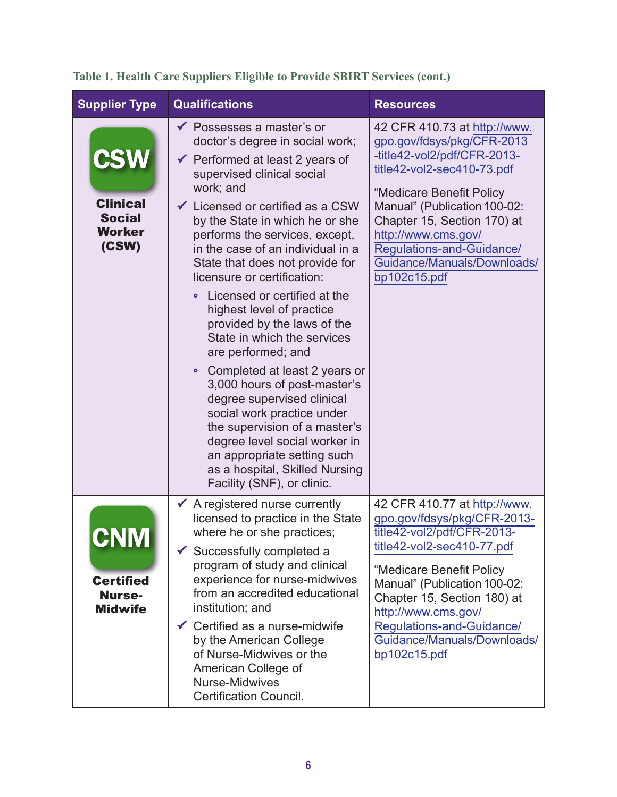| <b>Supplier Type</b>                                                     | <b>Qualifications</b>                                                                                                                                                                                                                                                                                                                                                                                                                                                                                                                                                                                                                                                                                                                                                                                                                          | <b>Resources</b>                                                                                                                                                                                                                                                                                                      |
|--------------------------------------------------------------------------|------------------------------------------------------------------------------------------------------------------------------------------------------------------------------------------------------------------------------------------------------------------------------------------------------------------------------------------------------------------------------------------------------------------------------------------------------------------------------------------------------------------------------------------------------------------------------------------------------------------------------------------------------------------------------------------------------------------------------------------------------------------------------------------------------------------------------------------------|-----------------------------------------------------------------------------------------------------------------------------------------------------------------------------------------------------------------------------------------------------------------------------------------------------------------------|
| <b>CSW</b><br><b>Clinical</b><br><b>Social</b><br><b>Worker</b><br>(CSW) | ◆ Possesses a master's or<br>doctor's degree in social work;<br>$\checkmark$ Performed at least 2 years of<br>supervised clinical social<br>work; and<br>$\checkmark$ Licensed or certified as a CSW<br>by the State in which he or she<br>performs the services, except,<br>in the case of an individual in a<br>State that does not provide for<br>licensure or certification:<br>Licensed or certified at the<br>$\bullet$<br>highest level of practice<br>provided by the laws of the<br>State in which the services<br>are performed; and<br>• Completed at least 2 years or<br>3,000 hours of post-master's<br>degree supervised clinical<br>social work practice under<br>the supervision of a master's<br>degree level social worker in<br>an appropriate setting such<br>as a hospital, Skilled Nursing<br>Facility (SNF), or clinic. | 42 CFR 410.73 at http://www.<br>gpo.gov/fdsys/pkg/CFR-2013<br>-title42-vol2/pdf/CFR-2013-<br>title42-vol2-sec410-73.pdf<br>"Medicare Benefit Policy<br>Manual" (Publication 100-02:<br>Chapter 15, Section 170) at<br>http://www.cms.gov/<br>Regulations-and-Guidance/<br>Guidance/Manuals/Downloads/<br>bp102c15.pdf |
| UITIVI<br><b>Certified</b><br><b>Nurse-</b><br><b>Midwife</b>            | $\checkmark$ A registered nurse currently<br>licensed to practice in the State<br>where he or she practices;<br>Successfully completed a<br>program of study and clinical<br>experience for nurse-midwives<br>from an accredited educational<br>institution; and<br>$\checkmark$ Certified as a nurse-midwife<br>by the American College<br>of Nurse-Midwives or the<br>American College of<br>Nurse-Midwives<br><b>Certification Council.</b>                                                                                                                                                                                                                                                                                                                                                                                                 | 42 CFR 410.77 at http://www.<br>gpo.gov/fdsys/pkg/CFR-2013-<br>title42-vol2/pdf/CFR-2013-<br>title42-vol2-sec410-77.pdf<br>"Medicare Benefit Policy<br>Manual" (Publication 100-02:<br>Chapter 15, Section 180) at<br>http://www.cms.gov/<br>Regulations-and-Guidance/<br>Guidance/Manuals/Downloads/<br>bp102c15.pdf |

# **Table 1. Health Care Suppliers Eligible to Provide SBIRT Services (cont.)**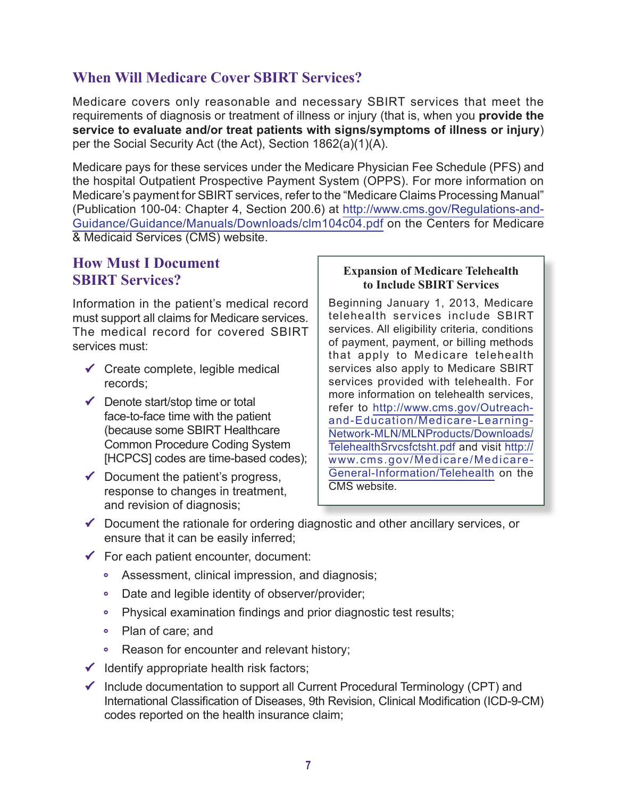#### **When Will Medicare Cover SBIRT Services?**

Medicare covers only reasonable and necessary SBIRT services that meet the requirements of diagnosis or treatment of illness or injury (that is, when you **provide the service to evaluate and/or treat patients with signs/symptoms of illness or injury**) per the Social Security Act (the Act), Section 1862(a)(1)(A).

Medicare pays for these services under the Medicare Physician Fee Schedule (PFS) and the hospital Outpatient Prospective Payment System (OPPS). For more information on Medicare's payment for SBIRT services, refer to the "Medicare Claims Processing Manual" (Publication 100-04: Chapter 4, Section 200.6) at [http://www.cms.gov/Regulations-and-](http://www.cms.gov/Regulations-and-Guidance/Guidance/Manuals/Downloads/clm104c04.pdf)[Guidance/Guidance/Manuals/Downloads/clm104c04.pdf](http://www.cms.gov/Regulations-and-Guidance/Guidance/Manuals/Downloads/clm104c04.pdf) on the Centers for Medicare & Medicaid Services (CMS) website.

#### **How Must I Document SBIRT Services?**

Information in the patient's medical record must support all claims for Medicare services. The medical record for covered SBIRT services must:

- $\checkmark$  Create complete, legible medical records;
- $\checkmark$  Denote start/stop time or total face-to-face time with the patient (because some SBIRT Healthcare Common Procedure Coding System [HCPCS] codes are time-based codes);
- $\checkmark$  Document the patient's progress, response to changes in treatment, and revision of diagnosis;

#### **Expansion of Medicare Telehealth to Include SBIRT Services**

Beginning January 1, 2013, Medicare telehealth services include SBIRT services. All eligibility criteria, conditions of payment, payment, or billing methods that apply to Medicare telehealth services also apply to Medicare SBIRT services provided with telehealth. For more information on telehealth services, refer to [http://www.cms.gov/Outreach](http://www.cms.gov/Outreach-and-Education/Medicare-Learning-Network-MLN/MLNProducts/Downloads/TelehealthSrvcsfctsht.pdf)[and-Education/Medicare-Learning-](http://www.cms.gov/Outreach-and-Education/Medicare-Learning-Network-MLN/MLNProducts/Downloads/TelehealthSrvcsfctsht.pdf)[Network-MLN/MLNProducts/Downloads/](http://www.cms.gov/Outreach-and-Education/Medicare-Learning-Network-MLN/MLNProducts/Downloads/TelehealthSrvcsfctsht.pdf) [TelehealthSrvcsfctsht.pdf](http://www.cms.gov/Outreach-and-Education/Medicare-Learning-Network-MLN/MLNProducts/Downloads/TelehealthSrvcsfctsht.pdf) and visit [http://](http://www.cms.gov/Medicare/Medicare-General-Information/Telehealth) [www.cms.gov/Medicare/Medicare-](http://www.cms.gov/Medicare/Medicare-General-Information/Telehealth)[General-Information/Telehealth](http://www.cms.gov/Medicare/Medicare-General-Information/Telehealth) on the CMS website.

- $\checkmark$  Document the rationale for ordering diagnostic and other ancillary services, or ensure that it can be easily inferred;
- $\checkmark$  For each patient encounter, document:
	- Assessment, clinical impression, and diagnosis;
	- Date and legible identity of observer/provider;
	- Physical examination findings and prior diagnostic test results;
	- Plan of care; and
	- Reason for encounter and relevant history;
- $\checkmark$  Identify appropriate health risk factors;
- $\checkmark$  Include documentation to support all Current Procedural Terminology (CPT) and International Classification of Diseases, 9th Revision, Clinical Modification (ICD-9-CM) codes reported on the health insurance claim;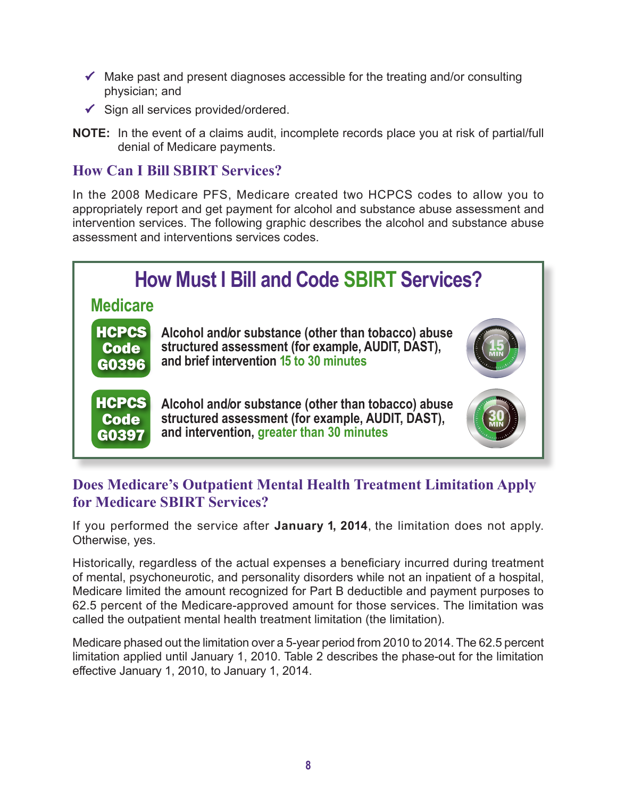- $\checkmark$  Make past and present diagnoses accessible for the treating and/or consulting physician; and
- $\checkmark$  Sign all services provided/ordered.
- **NOTE:** In the event of a claims audit, incomplete records place you at risk of partial/full denial of Medicare payments.

#### **How Can I Bill SBIRT Services?**

In the 2008 Medicare PFS, Medicare created two HCPCS codes to allow you to appropriately report and get payment for alcohol and substance abuse assessment and intervention services. The following graphic describes the alcohol and substance abuse assessment and interventions services codes.



#### **Does Medicare's Outpatient Mental Health Treatment Limitation Apply for Medicare SBIRT Services?**

If you performed the service after **January 1, 2014**, the limitation does not apply. Otherwise, yes.

Historically, regardless of the actual expenses a beneficiary incurred during treatment of mental, psychoneurotic, and personality disorders while not an inpatient of a hospital, Medicare limited the amount recognized for Part B deductible and payment purposes to 62.5 percent of the Medicare-approved amount for those services. The limitation was called the outpatient mental health treatment limitation (the limitation).

Medicare phased out the limitation over a 5-year period from 2010 to 2014. The 62.5 percent limitation applied until January 1, 2010. Table 2 describes the phase-out for the limitation effective January 1, 2010, to January 1, 2014.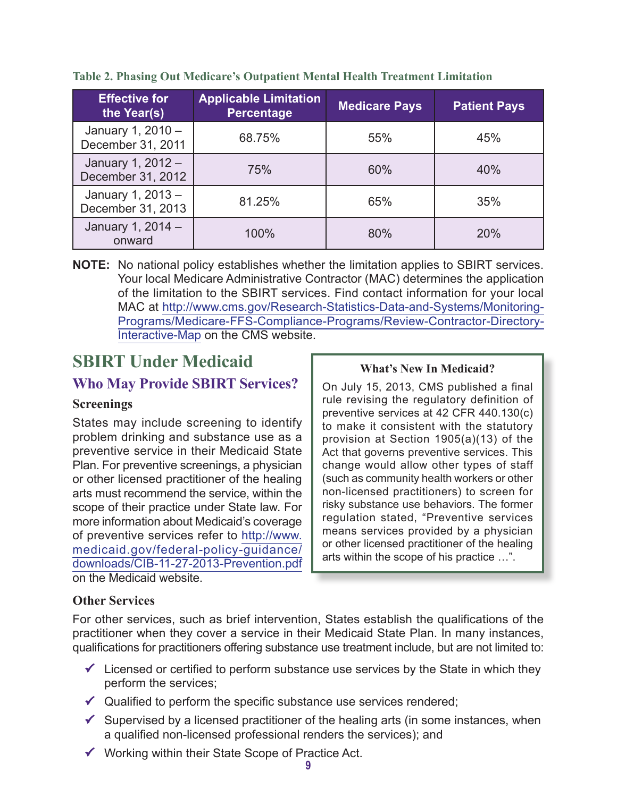| <b>Effective for</b><br>the Year(s)    | <b>Applicable Limitation</b><br><b>Percentage</b> | <b>Medicare Pays</b> | <b>Patient Pays</b> |
|----------------------------------------|---------------------------------------------------|----------------------|---------------------|
| January 1, 2010 -<br>December 31, 2011 | 68.75%                                            |                      | 45%                 |
| January 1, 2012 -<br>December 31, 2012 | 75%                                               | 60%                  | 40%                 |
| January 1, 2013 -<br>December 31, 2013 | 81.25%                                            | 65%                  | 35%                 |
| January 1, 2014 -<br>onward            | 100%                                              | 80%                  | 20%                 |

**Table 2. Phasing Out Medicare's Outpatient Mental Health Treatment Limitation**

**NOTE:** No national policy establishes whether the limitation applies to SBIRT services. Your local Medicare Administrative Contractor (MAC) determines the application of the limitation to the SBIRT services. Find contact information for your local MAC at [http://www.cms.gov/Research-Statistics-Data-and-Systems/Monitoring-](http://www.cms.gov/Research-Statistics-Data-and-Systems/Monitoring-Programs/Medicare-FFS-Compliance-Programs/Review-Contractor-Directory-Interactive-Map)[Programs/Medicare-FFS-Compliance-Programs/Review-Contractor-Directory-](http://www.cms.gov/Research-Statistics-Data-and-Systems/Monitoring-Programs/Medicare-FFS-Compliance-Programs/Review-Contractor-Directory-Interactive-Map)[Interactive-Map](http://www.cms.gov/Research-Statistics-Data-and-Systems/Monitoring-Programs/Medicare-FFS-Compliance-Programs/Review-Contractor-Directory-Interactive-Map) on the CMS website.

# **SBIRT Under Medicaid** What's New In Medicaid?

#### **Who May Provide SBIRT Services?**

#### **Screenings**

States may include screening to identify problem drinking and substance use as a preventive service in their Medicaid State Plan. For preventive screenings, a physician or other licensed practitioner of the healing arts must recommend the service, within the scope of their practice under State law. For more information about Medicaid's coverage of preventive services refer to [http://www.](http://www.medicaid.gov/federal-policy-guidance/downloads/CIB-11-27-2013-Prevention.pdf) [medicaid.gov/federal-policy-guidance/](http://www.medicaid.gov/federal-policy-guidance/downloads/CIB-11-27-2013-Prevention.pdf) [downloads/CIB-11-27-2013-Prevention.pdf](http://www.medicaid.gov/federal-policy-guidance/downloads/CIB-11-27-2013-Prevention.pdf) on the Medicaid website.

On July 15, 2013, CMS published a final rule revising the regulatory definition of preventive services at 42 CFR 440.130(c) to make it consistent with the statutory provision at Section 1905(a)(13) of the Act that governs preventive services. This change would allow other types of staff (such as community health workers or other non-licensed practitioners) to screen for risky substance use behaviors. The former regulation stated, "Preventive services means services provided by a physician or other licensed practitioner of the healing arts within the scope of his practice …".

#### **Other Services**

For other services, such as brief intervention, States establish the qualifications of the practitioner when they cover a service in their Medicaid State Plan. In many instances, qualifications for practitioners offering substance use treatment include, but are not limited to:

- $\checkmark$  Licensed or certified to perform substance use services by the State in which they perform the services;
- $\checkmark$  Qualified to perform the specific substance use services rendered;
- $\checkmark$  Supervised by a licensed practitioner of the healing arts (in some instances, when a qualified non-licensed professional renders the services); and
- $\checkmark$  Working within their State Scope of Practice Act.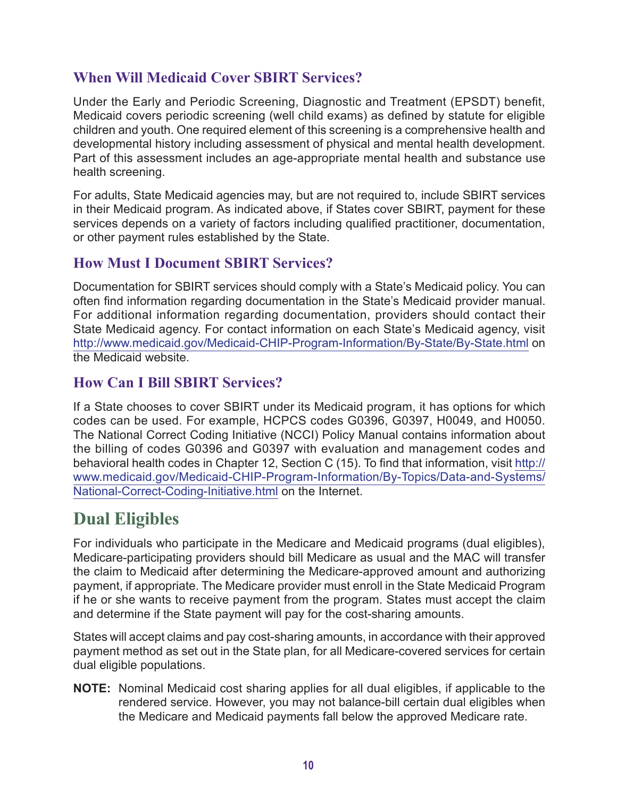#### **When Will Medicaid Cover SBIRT Services?**

Under the Early and Periodic Screening, Diagnostic and Treatment (EPSDT) benefit, Medicaid covers periodic screening (well child exams) as defined by statute for eligible children and youth. One required element of this screening is a comprehensive health and developmental history including assessment of physical and mental health development. Part of this assessment includes an age-appropriate mental health and substance use health screening.

For adults, State Medicaid agencies may, but are not required to, include SBIRT services in their Medicaid program. As indicated above, if States cover SBIRT, payment for these services depends on a variety of factors including qualified practitioner, documentation, or other payment rules established by the State.

#### **How Must I Document SBIRT Services?**

Documentation for SBIRT services should comply with a State's Medicaid policy. You can often find information regarding documentation in the State's Medicaid provider manual. For additional information regarding documentation, providers should contact their State Medicaid agency. For contact information on each State's Medicaid agency, visit <http://www.medicaid.gov/Medicaid-CHIP-Program-Information/By-State/By-State.html>on the Medicaid website.

#### **How Can I Bill SBIRT Services?**

If a State chooses to cover SBIRT under its Medicaid program, it has options for which codes can be used. For example, HCPCS codes G0396, G0397, H0049, and H0050. The National Correct Coding Initiative (NCCI) Policy Manual contains information about the billing of codes G0396 and G0397 with evaluation and management codes and behavioral health codes in Chapter 12, Section C (15). To find that information, visit [http://](http://www.medicaid.gov/Medicaid-CHIP-Program-Information/By-Topics/Data-and-Systems/National-Correct-Coding-Initiative.html) [www.medicaid.gov/Medicaid-CHIP-Program-Information/By-Topics/Data-and-Systems/](http://www.medicaid.gov/Medicaid-CHIP-Program-Information/By-Topics/Data-and-Systems/National-Correct-Coding-Initiative.html) [National-Correct-Coding-Initiative.html](http://www.medicaid.gov/Medicaid-CHIP-Program-Information/By-Topics/Data-and-Systems/National-Correct-Coding-Initiative.html) on the Internet.

# **Dual Eligibles**

For individuals who participate in the Medicare and Medicaid programs (dual eligibles), Medicare-participating providers should bill Medicare as usual and the MAC will transfer the claim to Medicaid after determining the Medicare-approved amount and authorizing payment, if appropriate. The Medicare provider must enroll in the State Medicaid Program if he or she wants to receive payment from the program. States must accept the claim and determine if the State payment will pay for the cost-sharing amounts.

States will accept claims and pay cost-sharing amounts, in accordance with their approved payment method as set out in the State plan, for all Medicare-covered services for certain dual eligible populations.

**NOTE:** Nominal Medicaid cost sharing applies for all dual eligibles, if applicable to the rendered service. However, you may not balance-bill certain dual eligibles when the Medicare and Medicaid payments fall below the approved Medicare rate.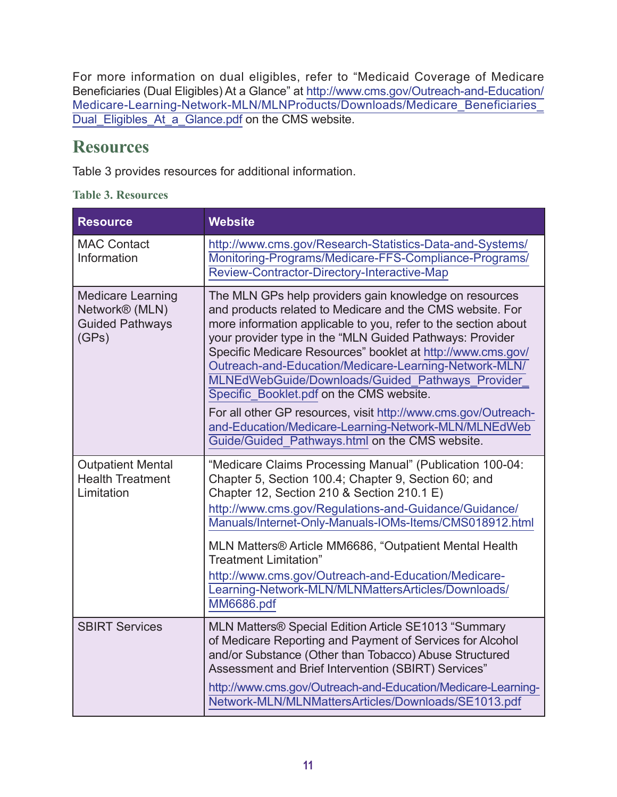For more information on dual eligibles, refer to "Medicaid Coverage of Medicare Beneficiaries (Dual Eligibles) At a Glance" at [http://www.cms.gov/Outreach-and-Education/](http://www.cms.gov/Outreach-and-Education/Medicare-Learning-Network-MLN/MLNProducts/Downloads/Medicare_Beneficiaries_Dual_Eligibles_At_a_Glance.pdf) [Medicare-Learning-Network-MLN/MLNProducts/Downloads/Medicare\\_Beneficiaries\\_](http://www.cms.gov/Outreach-and-Education/Medicare-Learning-Network-MLN/MLNProducts/Downloads/Medicare_Beneficiaries_Dual_Eligibles_At_a_Glance.pdf) [Dual\\_Eligibles\\_At\\_a\\_Glance.pdf](http://www.cms.gov/Outreach-and-Education/Medicare-Learning-Network-MLN/MLNProducts/Downloads/Medicare_Beneficiaries_Dual_Eligibles_At_a_Glance.pdf) on the CMS website.

# **Resources**

Table 3 provides resources for additional information.

|  |  | <b>Table 3. Resources</b> |
|--|--|---------------------------|
|--|--|---------------------------|

| <b>Resource</b>                                                               | <b>Website</b>                                                                                                                                                                                                                                                                                                                                                                                                                                                                                                                                                                                                                                        |
|-------------------------------------------------------------------------------|-------------------------------------------------------------------------------------------------------------------------------------------------------------------------------------------------------------------------------------------------------------------------------------------------------------------------------------------------------------------------------------------------------------------------------------------------------------------------------------------------------------------------------------------------------------------------------------------------------------------------------------------------------|
| <b>MAC Contact</b><br>Information                                             | http://www.cms.gov/Research-Statistics-Data-and-Systems/<br>Monitoring-Programs/Medicare-FFS-Compliance-Programs/<br>Review-Contractor-Directory-Interactive-Map                                                                                                                                                                                                                                                                                                                                                                                                                                                                                      |
| <b>Medicare Learning</b><br>Network® (MLN)<br><b>Guided Pathways</b><br>(GPs) | The MLN GPs help providers gain knowledge on resources<br>and products related to Medicare and the CMS website. For<br>more information applicable to you, refer to the section about<br>your provider type in the "MLN Guided Pathways: Provider<br>Specific Medicare Resources" booklet at http://www.cms.gov/<br>Outreach-and-Education/Medicare-Learning-Network-MLN/<br>MLNEdWebGuide/Downloads/Guided Pathways Provider<br>Specific Booklet.pdf on the CMS website.<br>For all other GP resources, visit http://www.cms.gov/Outreach-<br>and-Education/Medicare-Learning-Network-MLN/MLNEdWeb<br>Guide/Guided Pathways.html on the CMS website. |
| <b>Outpatient Mental</b><br><b>Health Treatment</b><br>Limitation             | "Medicare Claims Processing Manual" (Publication 100-04:<br>Chapter 5, Section 100.4; Chapter 9, Section 60; and<br>Chapter 12, Section 210 & Section 210.1 E)<br>http://www.cms.gov/Regulations-and-Guidance/Guidance/<br>Manuals/Internet-Only-Manuals-IOMs-Items/CMS018912.html<br>MLN Matters® Article MM6686, "Outpatient Mental Health<br><b>Treatment Limitation"</b><br>http://www.cms.gov/Outreach-and-Education/Medicare-<br>Learning-Network-MLN/MLNMattersArticles/Downloads/<br><b>MM6686.pdf</b>                                                                                                                                        |
| <b>SBIRT Services</b>                                                         | MLN Matters® Special Edition Article SE1013 "Summary<br>of Medicare Reporting and Payment of Services for Alcohol<br>and/or Substance (Other than Tobacco) Abuse Structured<br>Assessment and Brief Intervention (SBIRT) Services"<br>http://www.cms.gov/Outreach-and-Education/Medicare-Learning-<br>Network-MLN/MLNMattersArticles/Downloads/SE1013.pdf                                                                                                                                                                                                                                                                                             |